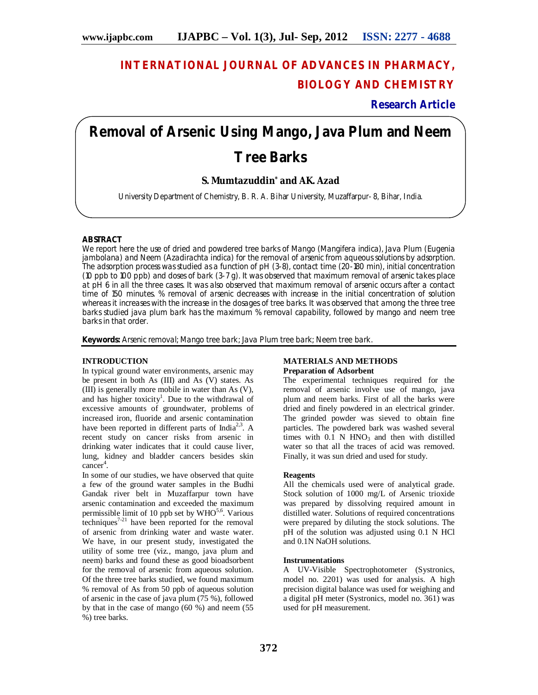## **INTERNATIONAL JOURNAL OF ADVANCES IN PHARMACY, BIOLOGY AND CHEMISTRY**

**Research Article**

# **Removal of Arsenic Using Mango, Java Plum and Neem Tree Barks**

### **S. Mumtazuddin\* and AK. Azad**

University Department of Chemistry, B. R. A. Bihar University, Muzaffarpur- 8, Bihar, India.

#### **ABSTRACT**

We report here the use of dried and powdered tree barks of Mango (*Mangifera indica*), Java Plum (*Eugenia jambolana*) and Neem (*Azadirachta indica*) for the removal of arsenic from aqueous solutions by adsorption. The adsorption process was studied as a function of pH (3-8), contact time (20-180 min), initial concentration (10 ppb to 100 ppb) and doses of bark (3-7 g). It was observed that maximum removal of arsenic takes place at pH 6 in all the three cases. It was also observed that maximum removal of arsenic occurs after a contact time of 150 minutes. % removal of arsenic decreases with increase in the initial concentration of solution whereas it increases with the increase in the dosages of tree barks. It was observed that among the three tree barks studied java plum bark has the maximum % removal capability, followed by mango and neem tree barks in that order.

**Keywords:** Arsenic removal; Mango tree bark; Java Plum tree bark; Neem tree bark.

#### **INTRODUCTION**

In typical ground water environments, arsenic may be present in both As (III) and As (V) states. As (III) is generally more mobile in water than As (V), and has higher toxicity<sup>1</sup>. Due to the withdrawal of excessive amounts of groundwater, problems of increased iron, fluoride and arsenic contamination have been reported in different parts of India<sup>2,3</sup>. A recent study on cancer risks from arsenic in drinking water indicates that it could cause liver, lung, kidney and bladder cancers besides skin cancer<sup>4</sup>.

In some of our studies, we have observed that quite a few of the ground water samples in the Budhi Gandak river belt in Muzaffarpur town have arsenic contamination and exceeded the maximum permissible limit of 10 ppb set by  $WHO^{5,6}$ . Various techniques<sup>7-21</sup> have been reported for the removal of arsenic from drinking water and waste water. We have, in our present study, investigated the utility of some tree (viz., mango, java plum and neem) barks and found these as good bioadsorbent for the removal of arsenic from aqueous solution. Of the three tree barks studied, we found maximum % removal of As from 50 ppb of aqueous solution of arsenic in the case of java plum (75 %), followed by that in the case of mango (60 %) and neem (55 %) tree barks.

#### **MATERIALS AND METHODS Preparation of Adsorbent**

The experimental techniques required for the removal of arsenic involve use of mango, java plum and neem barks. First of all the barks were dried and finely powdered in an electrical grinder. The grinded powder was sieved to obtain fine particles. The powdered bark was washed several times with  $0.\overline{1}$  N HNO<sub>3</sub> and then with distilled water so that all the traces of acid was removed. Finally, it was sun dried and used for study.

#### **Reagents**

All the chemicals used were of analytical grade. Stock solution of 1000 mg/L of Arsenic trioxide was prepared by dissolving required amount in distilled water. Solutions of required concentrations were prepared by diluting the stock solutions. The pH of the solution was adjusted using 0.1 N HCl and 0.1N NaOH solutions.

#### **Instrumentations**

A UV-Visible Spectrophotometer (Systronics, model no. 2201) was used for analysis. A high precision digital balance was used for weighing and a digital pH meter (Systronics, model no. 361) was used for pH measurement.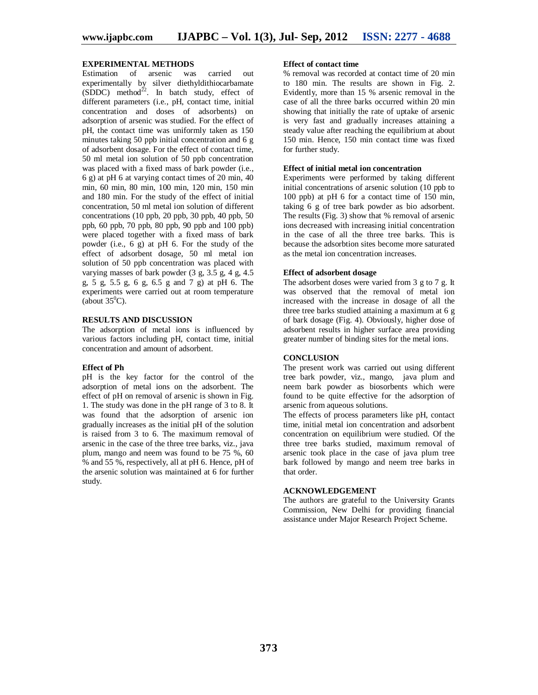#### **EXPERIMENTAL METHODS**

Estimation of arsenic was carried out experimentally by silver diethyldithiocarbamate (SDDC) method<sup>22</sup>. In batch study, effect of different parameters (i.e., pH, contact time, initial concentration and doses of adsorbents) on adsorption of arsenic was studied. For the effect of pH, the contact time was uniformly taken as 150 minutes taking 50 ppb initial concentration and 6 g of adsorbent dosage. For the effect of contact time, 50 ml metal ion solution of 50 ppb concentration was placed with a fixed mass of bark powder (i.e., 6 g) at pH 6 at varying contact times of 20 min, 40 min, 60 min, 80 min, 100 min, 120 min, 150 min and 180 min. For the study of the effect of initial concentration, 50 ml metal ion solution of different concentrations (10 ppb, 20 ppb, 30 ppb, 40 ppb, 50 ppb, 60 ppb, 70 ppb, 80 ppb, 90 ppb and 100 ppb) were placed together with a fixed mass of bark powder (i.e., 6 g) at pH 6. For the study of the effect of adsorbent dosage, 50 ml metal ion solution of 50 ppb concentration was placed with varying masses of bark powder (3 g, 3.5 g, 4 g, 4.5 g, 5 g, 5.5 g, 6 g, 6.5 g and 7 g) at pH 6. The experiments were carried out at room temperature (about  $35^0$ C).

#### **RESULTS AND DISCUSSION**

The adsorption of metal ions is influenced by various factors including pH, contact time, initial concentration and amount of adsorbent.

#### **Effect of Ph**

pH is the key factor for the control of the adsorption of metal ions on the adsorbent. The effect of pH on removal of arsenic is shown in Fig. 1. The study was done in the pH range of 3 to 8. It was found that the adsorption of arsenic ion gradually increases as the initial pH of the solution is raised from 3 to 6. The maximum removal of arsenic in the case of the three tree barks, viz., java plum, mango and neem was found to be 75 %, 60 % and 55 %, respectively, all at pH 6. Hence, pH of the arsenic solution was maintained at 6 for further study.

#### **Effect of contact time**

% removal was recorded at contact time of 20 min to 180 min. The results are shown in Fig. 2. Evidently, more than 15 % arsenic removal in the case of all the three barks occurred within 20 min showing that initially the rate of uptake of arsenic is very fast and gradually increases attaining a steady value after reaching the equilibrium at about 150 min. Hence, 150 min contact time was fixed for further study.

#### **Effect of initial metal ion concentration**

Experiments were performed by taking different initial concentrations of arsenic solution (10 ppb to 100 ppb) at pH 6 for a contact time of 150 min, taking 6 g of tree bark powder as bio adsorbent. The results (Fig. 3) show that % removal of arsenic ions decreased with increasing initial concentration in the case of all the three tree barks. This is because the adsorbtion sites become more saturated as the metal ion concentration increases.

#### **Effect of adsorbent dosage**

The adsorbent doses were varied from 3 g to 7 g. It was observed that the removal of metal ion increased with the increase in dosage of all the three tree barks studied attaining a maximum at 6 g of bark dosage (Fig. 4). Obviously, higher dose of adsorbent results in higher surface area providing greater number of binding sites for the metal ions.

#### **CONCLUSION**

The present work was carried out using different tree bark powder, viz., mango, java plum and neem bark powder as biosorbents which were found to be quite effective for the adsorption of arsenic from aqueous solutions.

The effects of process parameters like pH, contact time, initial metal ion concentration and adsorbent concentration on equilibrium were studied. Of the three tree barks studied, maximum removal of arsenic took place in the case of java plum tree bark followed by mango and neem tree barks in that order.

#### **ACKNOWLEDGEMENT**

The authors are grateful to the University Grants Commission, New Delhi for providing financial assistance under Major Research Project Scheme.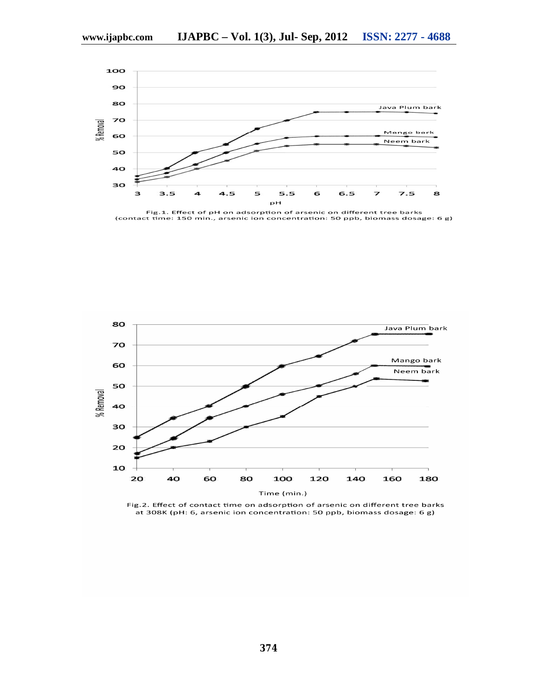

Fig.1. Effect of pH on adsorption of arsenic on different tree barks<br>(contact time: 150 min., arsenic ion concentration: 50 ppb, biomass dosage: 6 g)



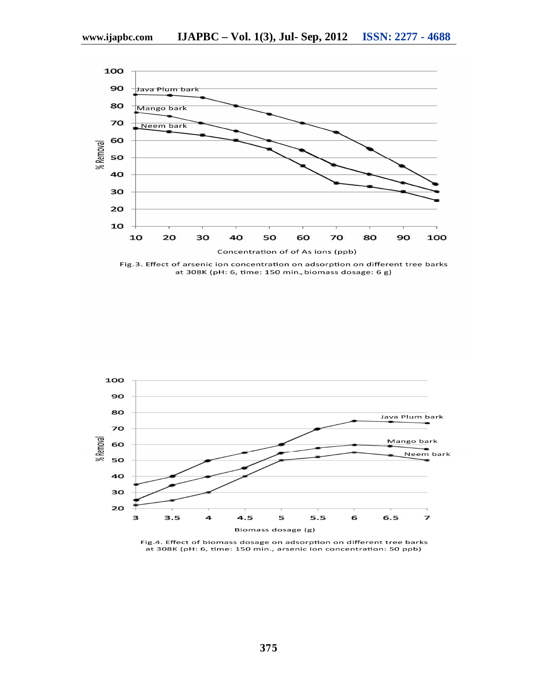

Fig.3. Effect of arsenic ion concentration on adsorption on different tree barks at 308K (pH: 6, time: 150 min., biomass dosage: 6 g)



Fig.4. Effect of biomass dosage on adsorption on different tree barks at 308K (pH: 6, time: 150 min., arsenic ion concentration: 50 ppb)